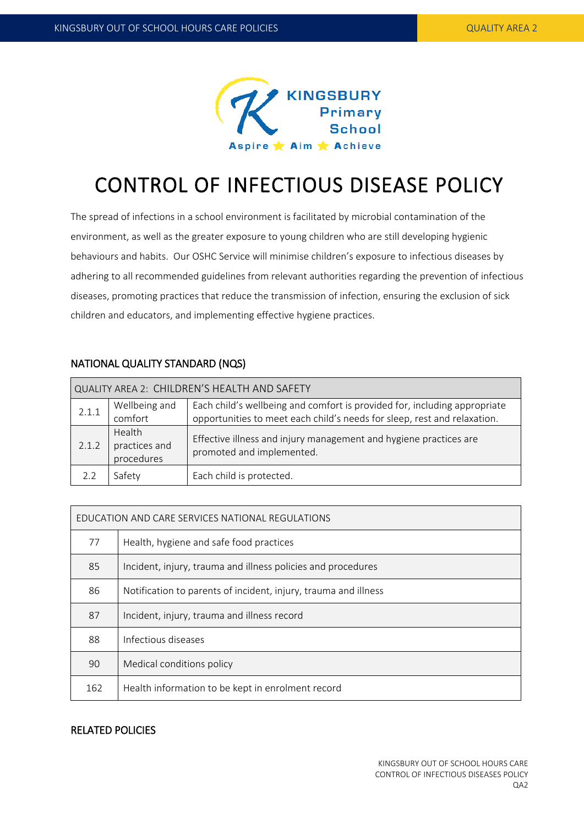

# CONTROL OF INFECTIOUS DISEASE POLICY

The spread of infections in a school environment is facilitated by microbial contamination of the environment, as well as the greater exposure to young children who are still developing hygienic behaviours and habits. Our OSHC Service will minimise children's exposure to infectious diseases by adhering to all recommended guidelines from relevant authorities regarding the prevention of infectious diseases, promoting practices that reduce the transmission of infection, ensuring the exclusion of sick children and educators, and implementing effective hygiene practices.

| QUALITY AREA 2: CHILDREN'S HEALTH AND SAFETY |                                       |                                                                                                                                                       |  |  |  |  |  |
|----------------------------------------------|---------------------------------------|-------------------------------------------------------------------------------------------------------------------------------------------------------|--|--|--|--|--|
| 2.1.1                                        | Wellbeing and<br>comfort              | Each child's wellbeing and comfort is provided for, including appropriate<br>opportunities to meet each child's needs for sleep, rest and relaxation. |  |  |  |  |  |
| 2.1.2                                        | Health<br>practices and<br>procedures | Effective illness and injury management and hygiene practices are<br>promoted and implemented.                                                        |  |  |  |  |  |
| 2.2                                          | Safety                                | Each child is protected.                                                                                                                              |  |  |  |  |  |

# NATIONAL QUALITY STANDARD (NQS)

| EDUCATION AND CARE SERVICES NATIONAL REGULATIONS |                                                                 |  |  |  |
|--------------------------------------------------|-----------------------------------------------------------------|--|--|--|
| 77                                               | Health, hygiene and safe food practices                         |  |  |  |
| 85                                               | Incident, injury, trauma and illness policies and procedures    |  |  |  |
| 86                                               | Notification to parents of incident, injury, trauma and illness |  |  |  |
| 87                                               | Incident, injury, trauma and illness record                     |  |  |  |
| 88                                               | Infectious diseases                                             |  |  |  |
| 90                                               | Medical conditions policy                                       |  |  |  |
| 162                                              | Health information to be kept in enrolment record               |  |  |  |

## RELATED POLICIES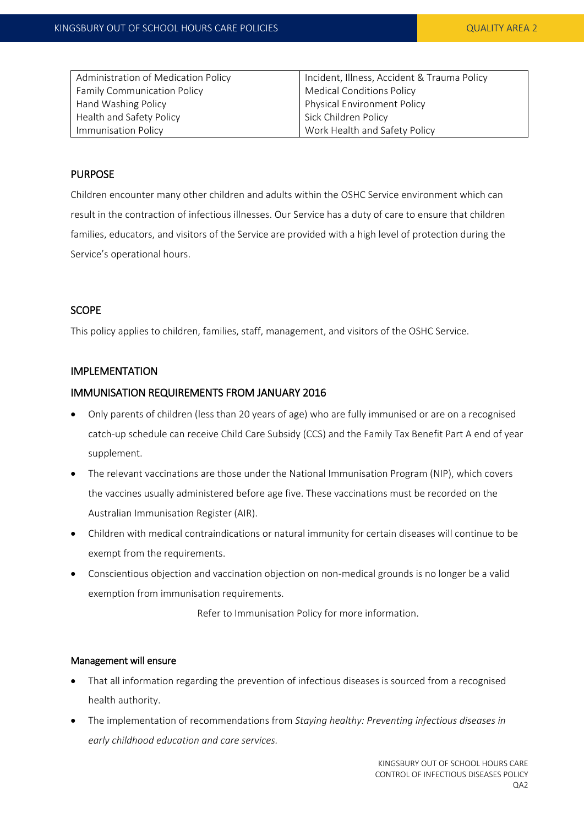| Administration of Medication Policy | Incident, Illness, Accident & Trauma Policy |  |
|-------------------------------------|---------------------------------------------|--|
| <b>Family Communication Policy</b>  | <b>Medical Conditions Policy</b>            |  |
| Hand Washing Policy                 | <b>Physical Environment Policy</b>          |  |
| Health and Safety Policy            | Sick Children Policy                        |  |
| Immunisation Policy                 | Work Health and Safety Policy               |  |

### PURPOSE

Children encounter many other children and adults within the OSHC Service environment which can result in the contraction of infectious illnesses. Our Service has a duty of care to ensure that children families, educators, and visitors of the Service are provided with a high level of protection during the Service's operational hours.

#### **SCOPE**

This policy applies to children, families, staff, management, and visitors of the OSHC Service.

## IMPLEMENTATION

#### IMMUNISATION REQUIREMENTS FROM JANUARY 2016

- Only parents of children (less than 20 years of age) who are fully immunised or are on a recognised catch-up schedule can receive Child Care Subsidy (CCS) and the Family Tax Benefit Part A end of year supplement.
- The relevant vaccinations are those under the National Immunisation Program (NIP), which covers the vaccines usually administered before age five. These vaccinations must be recorded on the Australian Immunisation Register (AIR).
- Children with medical contraindications or natural immunity for certain diseases will continue to be exempt from the requirements.
- Conscientious objection and vaccination objection on non-medical grounds is no longer be a valid exemption from immunisation requirements.

Refer to Immunisation Policy for more information.

#### Management will ensure

- That all information regarding the prevention of infectious diseases is sourced from a recognised health authority.
- The implementation of recommendations from *Staying healthy: Preventing infectious diseases in early childhood education and care services.*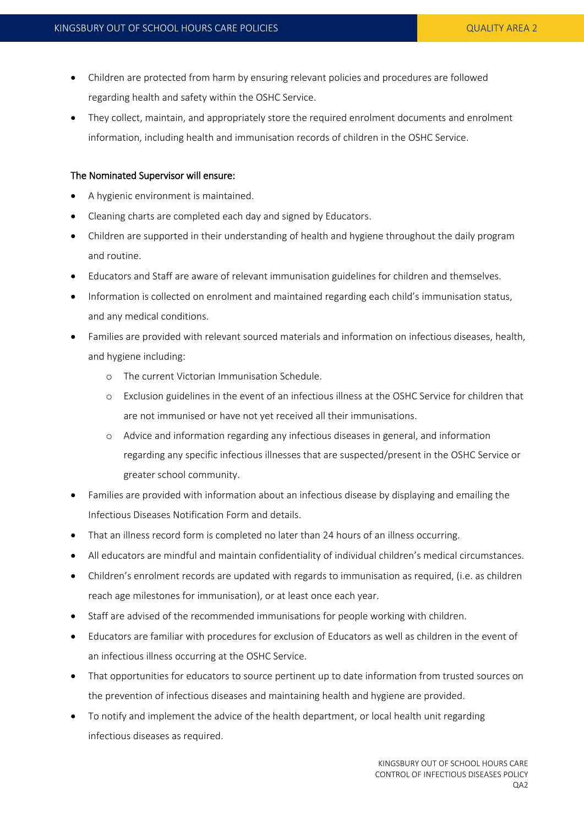- Children are protected from harm by ensuring relevant policies and procedures are followed regarding health and safety within the OSHC Service.
- They collect, maintain, and appropriately store the required enrolment documents and enrolment information, including health and immunisation records of children in the OSHC Service.

#### The Nominated Supervisor will ensure:

- A hygienic environment is maintained.
- Cleaning charts are completed each day and signed by Educators.
- Children are supported in their understanding of health and hygiene throughout the daily program and routine.
- Educators and Staff are aware of relevant immunisation guidelines for children and themselves.
- Information is collected on enrolment and maintained regarding each child's immunisation status, and any medical conditions.
- Families are provided with relevant sourced materials and information on infectious diseases, health, and hygiene including:
	- o The current Victorian Immunisation Schedule.
	- o Exclusion guidelines in the event of an infectious illness at the OSHC Service for children that are not immunised or have not yet received all their immunisations.
	- o Advice and information regarding any infectious diseases in general, and information regarding any specific infectious illnesses that are suspected/present in the OSHC Service or greater school community.
- Families are provided with information about an infectious disease by displaying and emailing the Infectious Diseases Notification Form and details.
- That an illness record form is completed no later than 24 hours of an illness occurring.
- All educators are mindful and maintain confidentiality of individual children's medical circumstances.
- Children's enrolment records are updated with regards to immunisation as required, (i.e. as children reach age milestones for immunisation), or at least once each year.
- Staff are advised of the recommended immunisations for people working with children.
- Educators are familiar with procedures for exclusion of Educators as well as children in the event of an infectious illness occurring at the OSHC Service.
- That opportunities for educators to source pertinent up to date information from trusted sources on the prevention of infectious diseases and maintaining health and hygiene are provided.
- To notify and implement the advice of the health department, or local health unit regarding infectious diseases as required.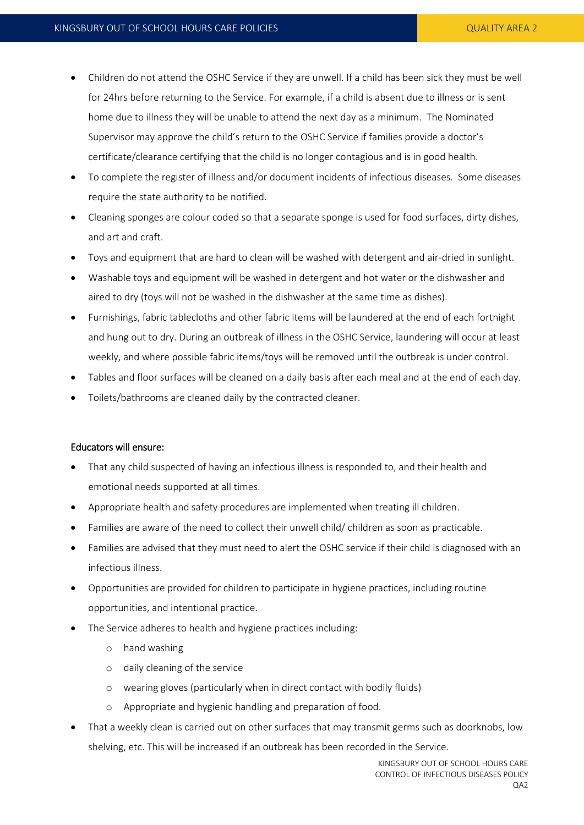- Children do not attend the OSHC Service if they are unwell. If a child has been sick they must be well for 24hrs before returning to the Service. For example, if a child is absent due to illness or is sent home due to illness they will be unable to attend the next day as a minimum. The Nominated Supervisor may approve the child's return to the OSHC Service if families provide a doctor's certificate/clearance certifying that the child is no longer contagious and is in good health.
- To complete the register of illness and/or document incidents of infectious diseases. Some diseases require the state authority to be notified.
- Cleaning sponges are colour coded so that a separate sponge is used for food surfaces, dirty dishes, and art and craft.
- Toys and equipment that are hard to clean will be washed with detergent and air-dried in sunlight.
- Washable toys and equipment will be washed in detergent and hot water or the dishwasher and aired to dry (toys will not be washed in the dishwasher at the same time as dishes).
- Furnishings, fabric tablecloths and other fabric items will be laundered at the end of each fortnight and hung out to dry. During an outbreak of illness in the OSHC Service, laundering will occur at least weekly, and where possible fabric items/toys will be removed until the outbreak is under control.
- Tables and floor surfaces will be cleaned on a daily basis after each meal and at the end of each day.
- Toilets/bathrooms are cleaned daily by the contracted cleaner.

#### Educators will ensure:

- That any child suspected of having an infectious illness is responded to, and their health and emotional needs supported at all times.
- Appropriate health and safety procedures are implemented when treating ill children.
- Families are aware of the need to collect their unwell child/ children as soon as practicable.
- Families are advised that they must need to alert the OSHC service if their child is diagnosed with an infectious illness.
- Opportunities are provided for children to participate in hygiene practices, including routine opportunities, and intentional practice.
- The Service adheres to health and hygiene practices including:
	- o hand washing
	- o daily cleaning of the service
	- o wearing gloves (particularly when in direct contact with bodily fluids)
	- o Appropriate and hygienic handling and preparation of food.
- That a weekly clean is carried out on other surfaces that may transmit germs such as doorknobs, low shelving, etc. This will be increased if an outbreak has been recorded in the Service.